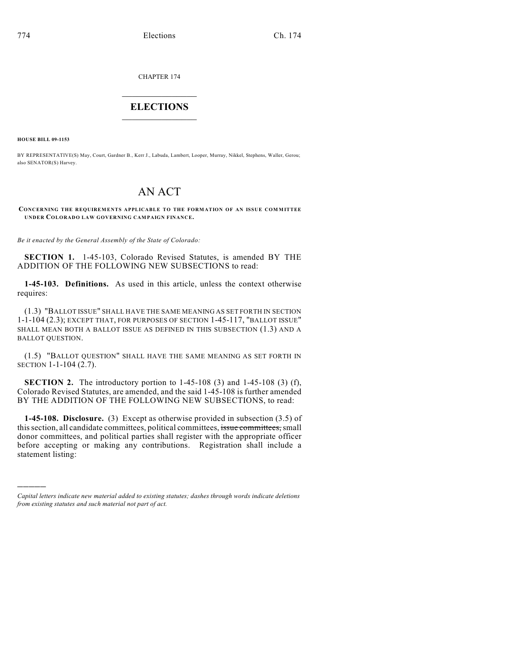CHAPTER 174

## $\overline{\phantom{a}}$  . The set of the set of the set of the set of the set of the set of the set of the set of the set of the set of the set of the set of the set of the set of the set of the set of the set of the set of the set o **ELECTIONS**  $\_$

**HOUSE BILL 09-1153**

)))))

BY REPRESENTATIVE(S) May, Court, Gardner B., Kerr J., Labuda, Lambert, Looper, Murray, Nikkel, Stephens, Waller, Gerou; also SENATOR(S) Harvey.

# AN ACT

#### **CONCERNING THE REQUIREMENTS APPLICABLE TO THE FORMATION OF AN ISSUE COM MITTEE UNDER COLORADO LAW GOVERNING CAMPAIGN FINANCE.**

*Be it enacted by the General Assembly of the State of Colorado:*

**SECTION 1.** 1-45-103, Colorado Revised Statutes, is amended BY THE ADDITION OF THE FOLLOWING NEW SUBSECTIONS to read:

**1-45-103. Definitions.** As used in this article, unless the context otherwise requires:

(1.3) "BALLOT ISSUE" SHALL HAVE THE SAME MEANING AS SET FORTH IN SECTION 1-1-104 (2.3); EXCEPT THAT, FOR PURPOSES OF SECTION 1-45-117, "BALLOT ISSUE" SHALL MEAN BOTH A BALLOT ISSUE AS DEFINED IN THIS SUBSECTION (1.3) AND A BALLOT QUESTION.

(1.5) "BALLOT QUESTION" SHALL HAVE THE SAME MEANING AS SET FORTH IN SECTION 1-1-104 (2.7).

**SECTION 2.** The introductory portion to 1-45-108 (3) and 1-45-108 (3) (f), Colorado Revised Statutes, are amended, and the said 1-45-108 is further amended BY THE ADDITION OF THE FOLLOWING NEW SUBSECTIONS, to read:

**1-45-108. Disclosure.** (3) Except as otherwise provided in subsection (3.5) of this section, all candidate committees, political committees, issue committees, small donor committees, and political parties shall register with the appropriate officer before accepting or making any contributions. Registration shall include a statement listing:

*Capital letters indicate new material added to existing statutes; dashes through words indicate deletions from existing statutes and such material not part of act.*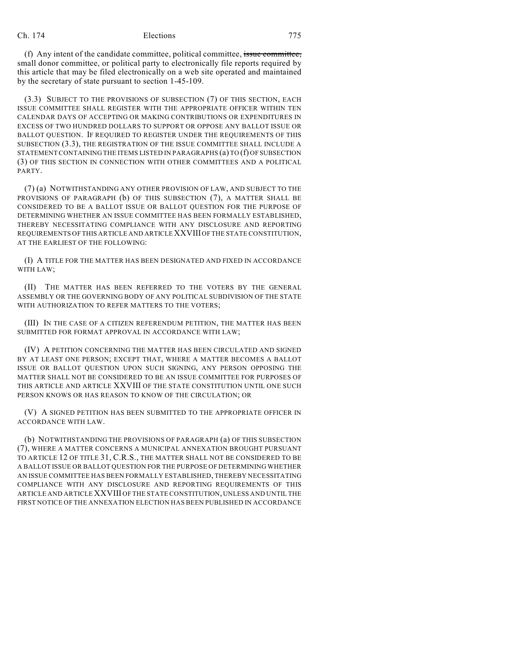### Ch. 174 Elections 775

(f) Any intent of the candidate committee, political committee, issue committee, small donor committee, or political party to electronically file reports required by this article that may be filed electronically on a web site operated and maintained by the secretary of state pursuant to section 1-45-109.

(3.3) SUBJECT TO THE PROVISIONS OF SUBSECTION (7) OF THIS SECTION, EACH ISSUE COMMITTEE SHALL REGISTER WITH THE APPROPRIATE OFFICER WITHIN TEN CALENDAR DAYS OF ACCEPTING OR MAKING CONTRIBUTIONS OR EXPENDITURES IN EXCESS OF TWO HUNDRED DOLLARS TO SUPPORT OR OPPOSE ANY BALLOT ISSUE OR BALLOT QUESTION. IF REQUIRED TO REGISTER UNDER THE REQUIREMENTS OF THIS SUBSECTION (3.3), THE REGISTRATION OF THE ISSUE COMMITTEE SHALL INCLUDE A STATEMENT CONTAINING THE ITEMS LISTED IN PARAGRAPHS (a) TO (f) OF SUBSECTION (3) OF THIS SECTION IN CONNECTION WITH OTHER COMMITTEES AND A POLITICAL PARTY.

(7) (a) NOTWITHSTANDING ANY OTHER PROVISION OF LAW, AND SUBJECT TO THE PROVISIONS OF PARAGRAPH (b) OF THIS SUBSECTION (7), A MATTER SHALL BE CONSIDERED TO BE A BALLOT ISSUE OR BALLOT QUESTION FOR THE PURPOSE OF DETERMINING WHETHER AN ISSUE COMMITTEE HAS BEEN FORMALLY ESTABLISHED, THEREBY NECESSITATING COMPLIANCE WITH ANY DISCLOSURE AND REPORTING REQUIREMENTS OF THIS ARTICLE AND ARTICLE XXVIII OF THE STATE CONSTITUTION, AT THE EARLIEST OF THE FOLLOWING:

(I) A TITLE FOR THE MATTER HAS BEEN DESIGNATED AND FIXED IN ACCORDANCE WITH LAW;

(II) THE MATTER HAS BEEN REFERRED TO THE VOTERS BY THE GENERAL ASSEMBLY OR THE GOVERNING BODY OF ANY POLITICAL SUBDIVISION OF THE STATE WITH AUTHORIZATION TO REFER MATTERS TO THE VOTERS;

(III) IN THE CASE OF A CITIZEN REFERENDUM PETITION, THE MATTER HAS BEEN SUBMITTED FOR FORMAT APPROVAL IN ACCORDANCE WITH LAW;

(IV) A PETITION CONCERNING THE MATTER HAS BEEN CIRCULATED AND SIGNED BY AT LEAST ONE PERSON; EXCEPT THAT, WHERE A MATTER BECOMES A BALLOT ISSUE OR BALLOT QUESTION UPON SUCH SIGNING, ANY PERSON OPPOSING THE MATTER SHALL NOT BE CONSIDERED TO BE AN ISSUE COMMITTEE FOR PURPOSES OF THIS ARTICLE AND ARTICLE XXVIII OF THE STATE CONSTITUTION UNTIL ONE SUCH PERSON KNOWS OR HAS REASON TO KNOW OF THE CIRCULATION; OR

(V) A SIGNED PETITION HAS BEEN SUBMITTED TO THE APPROPRIATE OFFICER IN ACCORDANCE WITH LAW.

(b) NOTWITHSTANDING THE PROVISIONS OF PARAGRAPH (a) OF THIS SUBSECTION (7), WHERE A MATTER CONCERNS A MUNICIPAL ANNEXATION BROUGHT PURSUANT TO ARTICLE 12 OF TITLE 31, C.R.S., THE MATTER SHALL NOT BE CONSIDERED TO BE A BALLOT ISSUE OR BALLOT QUESTION FOR THE PURPOSE OF DETERMINING WHETHER AN ISSUE COMMITTEE HAS BEEN FORMALLY ESTABLISHED, THEREBY NECESSITATING COMPLIANCE WITH ANY DISCLOSURE AND REPORTING REQUIREMENTS OF THIS ARTICLE AND ARTICLE XXVIII OF THE STATE CONSTITUTION, UNLESS AND UNTIL THE FIRST NOTICE OF THE ANNEXATION ELECTION HAS BEEN PUBLISHED IN ACCORDANCE